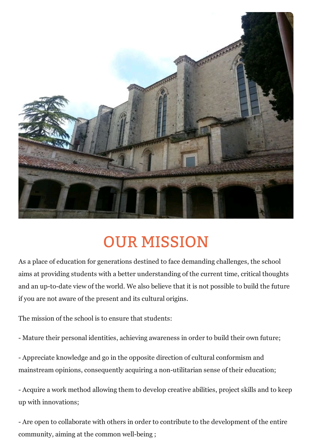

## OUR MISSION

As a place of education for generations destined to face demanding challenges, the school aims at providing students with a better understanding of the current time, critical thoughts and an up-to-date view of the world. We also believe that it is not possible to build the future if you are not aware of the present and its cultural origins.

The mission of the school is to ensure that students:

- Mature their personal identities, achieving awareness in order to build their own future;

- Appreciate knowledge and go in the opposite direction of cultural conformism and mainstream opinions, consequently acquiring a non-utilitarian sense of their education;

- Acquire a work method allowing them to develop creative abilities, project skills and to keep up with innovations;

- Are open to collaborate with others in order to contribute to the development of the entire community, aiming at the common well-being ;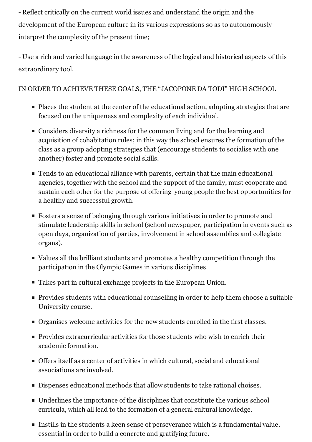- Reflect critically on the current world issues and understand the origin and the development of the European culture in its various expressions so as to autonomously interpret the complexity of the present time;

- Use a rich and varied language in the awareness of the logical and historical aspects of this extraordinary tool.

## IN ORDER TO ACHIEVE THESE GOALS, THE "JACOPONE DA TODI" HIGH SCHOOL

- Places the student at the center of the educational action, adopting strategies that are focused on the uniqueness and complexity of each individual.
- Considers diversity a richness for the common living and for the learning and acquisition of cohabitation rules; in this way the school ensures the formation of the class as a group adopting strategies that (encourage students to socialise with one another) foster and promote social skills.
- Tends to an educational alliance with parents, certain that the main educational agencies, together with the school and the support of the family, must cooperate and sustain each other for the purpose of offering young people the best opportunities for a healthy and successful growth.
- Fosters a sense of belonging through various initiatives in order to promote and stimulate leadership skills in school (school newspaper, participation in events such as open days, organization of parties, involvement in school assemblies and collegiate organs).
- Values all the brilliant students and promotes a healthy competition through the participation in the Olympic Games in various disciplines.
- Takes part in cultural exchange projects in the European Union.
- Provides students with educational counselling in order to help them choose a suitable University course.
- Organises welcome activities for the new students enrolled in the first classes.
- **Provides extracurricular activities for those students who wish to enrich their** academic formation.
- Offers itself as a center of activities in which cultural, social and educational associations are involved.
- Dispenses educational methods that allow students to take rational choises.
- Underlines the importance of the disciplines that constitute the various school curricula, which all lead to the formation of a general cultural knowledge.
- Instills in the students a keen sense of perseverance which is a fundamental value, essential in order to build a concrete and gratifying future.